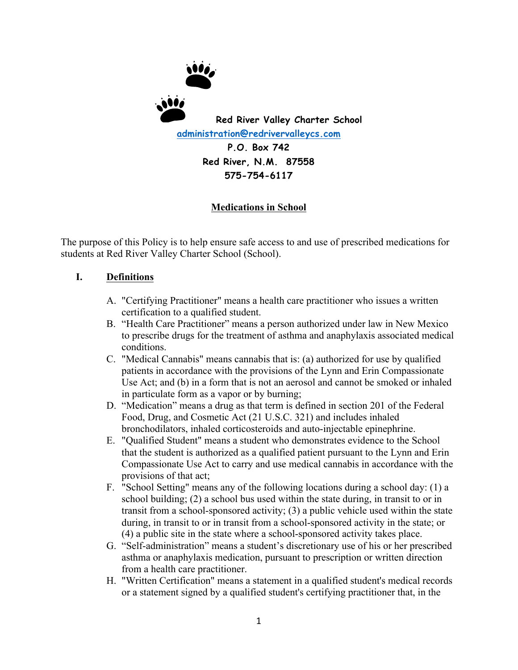

# **Medications in School**

The purpose of this Policy is to help ensure safe access to and use of prescribed medications for students at Red River Valley Charter School (School).

# **I. Definitions**

- A. "Certifying Practitioner" means a health care practitioner who issues a written certification to a qualified student.
- B. "Health Care Practitioner" means a person authorized under law in New Mexico to prescribe drugs for the treatment of asthma and anaphylaxis associated medical conditions.
- C. "Medical Cannabis" means cannabis that is: (a) authorized for use by qualified patients in accordance with the provisions of the Lynn and Erin Compassionate Use Act; and (b) in a form that is not an aerosol and cannot be smoked or inhaled in particulate form as a vapor or by burning;
- D. "Medication" means a drug as that term is defined in section 201 of the Federal Food, Drug, and Cosmetic Act (21 U.S.C. 321) and includes inhaled bronchodilators, inhaled corticosteroids and auto-injectable epinephrine.
- E. "Qualified Student" means a student who demonstrates evidence to the School that the student is authorized as a qualified patient pursuant to the Lynn and Erin Compassionate Use Act to carry and use medical cannabis in accordance with the provisions of that act;
- F. "School Setting" means any of the following locations during a school day: (1) a school building; (2) a school bus used within the state during, in transit to or in transit from a school-sponsored activity; (3) a public vehicle used within the state during, in transit to or in transit from a school-sponsored activity in the state; or (4) a public site in the state where a school-sponsored activity takes place.
- G. "Self-administration" means a student's discretionary use of his or her prescribed asthma or anaphylaxis medication, pursuant to prescription or written direction from a health care practitioner.
- H. "Written Certification" means a statement in a qualified student's medical records or a statement signed by a qualified student's certifying practitioner that, in the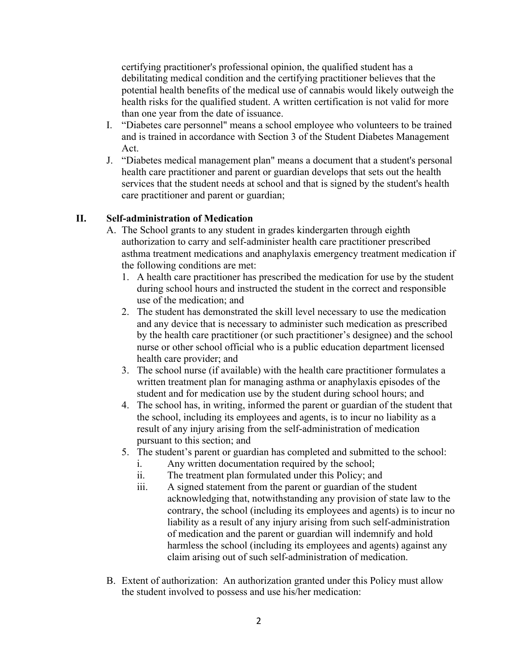certifying practitioner's professional opinion, the qualified student has a debilitating medical condition and the certifying practitioner believes that the potential health benefits of the medical use of cannabis would likely outweigh the health risks for the qualified student. A written certification is not valid for more than one year from the date of issuance.

- I. "Diabetes care personnel" means a school employee who volunteers to be trained and is trained in accordance with Section 3 of the Student Diabetes Management Act.
- J. "Diabetes medical management plan" means a document that a student's personal health care practitioner and parent or guardian develops that sets out the health services that the student needs at school and that is signed by the student's health care practitioner and parent or guardian;

### **II. Self-administration of Medication**

- A. The School grants to any student in grades kindergarten through eighth authorization to carry and self-administer health care practitioner prescribed asthma treatment medications and anaphylaxis emergency treatment medication if the following conditions are met:
	- 1. A health care practitioner has prescribed the medication for use by the student during school hours and instructed the student in the correct and responsible use of the medication; and
	- 2. The student has demonstrated the skill level necessary to use the medication and any device that is necessary to administer such medication as prescribed by the health care practitioner (or such practitioner's designee) and the school nurse or other school official who is a public education department licensed health care provider; and
	- 3. The school nurse (if available) with the health care practitioner formulates a written treatment plan for managing asthma or anaphylaxis episodes of the student and for medication use by the student during school hours; and
	- 4. The school has, in writing, informed the parent or guardian of the student that the school, including its employees and agents, is to incur no liability as a result of any injury arising from the self-administration of medication pursuant to this section; and
	- 5. The student's parent or guardian has completed and submitted to the school:
		- i. Any written documentation required by the school;
		- ii. The treatment plan formulated under this Policy; and
		- iii. A signed statement from the parent or guardian of the student acknowledging that, notwithstanding any provision of state law to the contrary, the school (including its employees and agents) is to incur no liability as a result of any injury arising from such self-administration of medication and the parent or guardian will indemnify and hold harmless the school (including its employees and agents) against any claim arising out of such self-administration of medication.
- B. Extent of authorization: An authorization granted under this Policy must allow the student involved to possess and use his/her medication: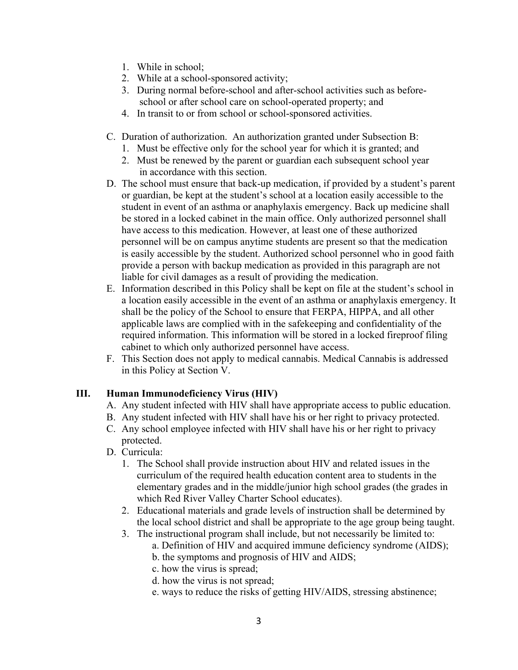- 1. While in school;
- 2. While at a school-sponsored activity;
- 3. During normal before-school and after-school activities such as before school or after school care on school-operated property; and
- 4. In transit to or from school or school-sponsored activities.
- C. Duration of authorization. An authorization granted under Subsection B:
	- 1. Must be effective only for the school year for which it is granted; and
	- 2. Must be renewed by the parent or guardian each subsequent school year in accordance with this section.
- D. The school must ensure that back-up medication, if provided by a student's parent or guardian, be kept at the student's school at a location easily accessible to the student in event of an asthma or anaphylaxis emergency. Back up medicine shall be stored in a locked cabinet in the main office. Only authorized personnel shall have access to this medication. However, at least one of these authorized personnel will be on campus anytime students are present so that the medication is easily accessible by the student. Authorized school personnel who in good faith provide a person with backup medication as provided in this paragraph are not liable for civil damages as a result of providing the medication.
- E. Information described in this Policy shall be kept on file at the student's school in a location easily accessible in the event of an asthma or anaphylaxis emergency. It shall be the policy of the School to ensure that FERPA, HIPPA, and all other applicable laws are complied with in the safekeeping and confidentiality of the required information. This information will be stored in a locked fireproof filing cabinet to which only authorized personnel have access.
- F. This Section does not apply to medical cannabis. Medical Cannabis is addressed in this Policy at Section V.

# **III. Human Immunodeficiency Virus (HIV)**

- A. Any student infected with HIV shall have appropriate access to public education.
- B. Any student infected with HIV shall have his or her right to privacy protected.
- C. Any school employee infected with HIV shall have his or her right to privacy protected.
- D. Curricula:
	- 1. The School shall provide instruction about HIV and related issues in the curriculum of the required health education content area to students in the elementary grades and in the middle/junior high school grades (the grades in which Red River Valley Charter School educates).
	- 2. Educational materials and grade levels of instruction shall be determined by the local school district and shall be appropriate to the age group being taught.
	- 3. The instructional program shall include, but not necessarily be limited to:
		- a. Definition of HIV and acquired immune deficiency syndrome (AIDS);
		- b. the symptoms and prognosis of HIV and AIDS;
		- c. how the virus is spread;
		- d. how the virus is not spread;
		- e. ways to reduce the risks of getting HIV/AIDS, stressing abstinence;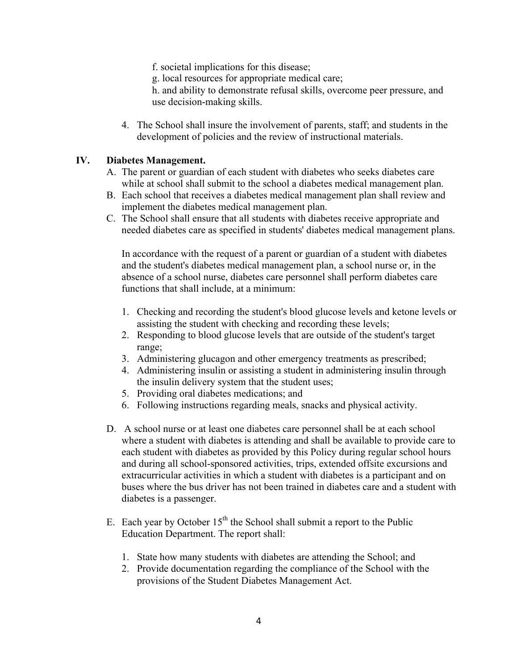- f. societal implications for this disease;
- g. local resources for appropriate medical care;

h. and ability to demonstrate refusal skills, overcome peer pressure, and use decision-making skills.

4. The School shall insure the involvement of parents, staff; and students in the development of policies and the review of instructional materials.

### **IV. Diabetes Management.**

- A. The parent or guardian of each student with diabetes who seeks diabetes care while at school shall submit to the school a diabetes medical management plan.
- B. Each school that receives a diabetes medical management plan shall review and implement the diabetes medical management plan.
- C. The School shall ensure that all students with diabetes receive appropriate and needed diabetes care as specified in students' diabetes medical management plans.

In accordance with the request of a parent or guardian of a student with diabetes and the student's diabetes medical management plan, a school nurse or, in the absence of a school nurse, diabetes care personnel shall perform diabetes care functions that shall include, at a minimum:

- 1. Checking and recording the student's blood glucose levels and ketone levels or assisting the student with checking and recording these levels;
- 2. Responding to blood glucose levels that are outside of the student's target range;
- 3. Administering glucagon and other emergency treatments as prescribed;
- 4. Administering insulin or assisting a student in administering insulin through the insulin delivery system that the student uses;
- 5. Providing oral diabetes medications; and
- 6. Following instructions regarding meals, snacks and physical activity.
- D. A school nurse or at least one diabetes care personnel shall be at each school where a student with diabetes is attending and shall be available to provide care to each student with diabetes as provided by this Policy during regular school hours and during all school-sponsored activities, trips, extended offsite excursions and extracurricular activities in which a student with diabetes is a participant and on buses where the bus driver has not been trained in diabetes care and a student with diabetes is a passenger.
- E. Each year by October  $15<sup>th</sup>$  the School shall submit a report to the Public Education Department. The report shall:
	- 1. State how many students with diabetes are attending the School; and
	- 2. Provide documentation regarding the compliance of the School with the provisions of the Student Diabetes Management Act.